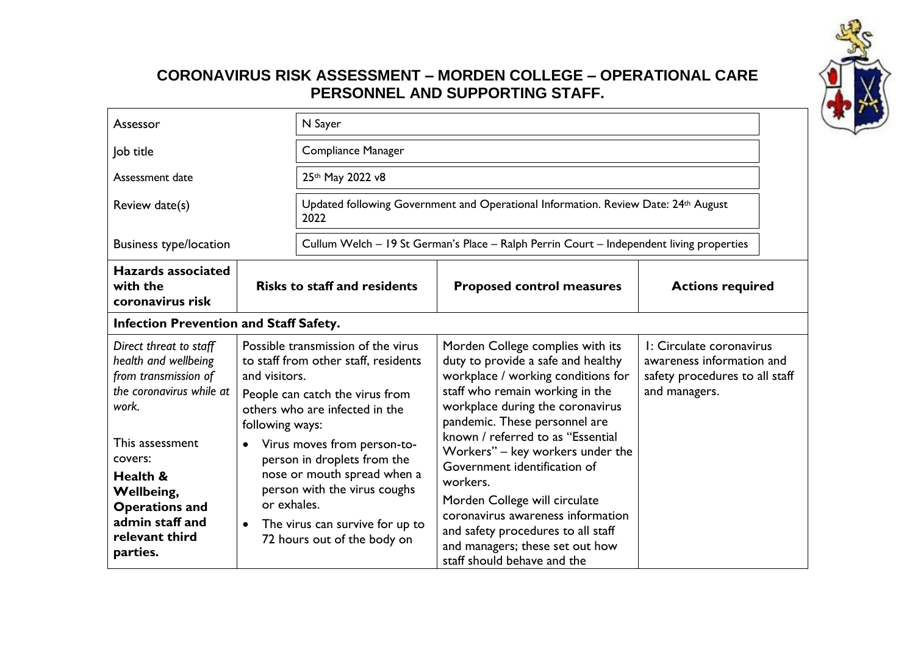

## **CORONAVIRUS RISK ASSESSMENT – MORDEN COLLEGE – OPERATIONAL CARE PERSONNEL AND SUPPORTING STAFF.**

| Assessor                                                                                                                       |                                       | N Sayer                                                                                                                                                                                     |                                                                                                                                                                                                                                                                                                 |                                                                                                          |  |
|--------------------------------------------------------------------------------------------------------------------------------|---------------------------------------|---------------------------------------------------------------------------------------------------------------------------------------------------------------------------------------------|-------------------------------------------------------------------------------------------------------------------------------------------------------------------------------------------------------------------------------------------------------------------------------------------------|----------------------------------------------------------------------------------------------------------|--|
| Compliance Manager<br>Job title                                                                                                |                                       |                                                                                                                                                                                             |                                                                                                                                                                                                                                                                                                 |                                                                                                          |  |
| Assessment date                                                                                                                |                                       | 25th May 2022 v8                                                                                                                                                                            |                                                                                                                                                                                                                                                                                                 |                                                                                                          |  |
| Review date(s)                                                                                                                 |                                       | Updated following Government and Operational Information. Review Date: 24th August<br>2022                                                                                                  |                                                                                                                                                                                                                                                                                                 |                                                                                                          |  |
| <b>Business type/location</b>                                                                                                  |                                       |                                                                                                                                                                                             | Cullum Welch - 19 St German's Place - Ralph Perrin Court - Independent living properties                                                                                                                                                                                                        |                                                                                                          |  |
| <b>Hazards associated</b><br>with the<br>coronavirus risk                                                                      |                                       | <b>Risks to staff and residents</b>                                                                                                                                                         | <b>Proposed control measures</b>                                                                                                                                                                                                                                                                | <b>Actions required</b>                                                                                  |  |
| <b>Infection Prevention and Staff Safety.</b>                                                                                  |                                       |                                                                                                                                                                                             |                                                                                                                                                                                                                                                                                                 |                                                                                                          |  |
| Direct threat to staff<br>health and wellbeing<br>from transmission of<br>the coronavirus while at<br>work.                    | and visitors.<br>following ways:      | Possible transmission of the virus<br>to staff from other staff, residents<br>People can catch the virus from<br>others who are infected in the                                             | Morden College complies with its<br>duty to provide a safe and healthy<br>workplace / working conditions for<br>staff who remain working in the<br>workplace during the coronavirus<br>pandemic. These personnel are                                                                            | I: Circulate coronavirus<br>awareness information and<br>safety procedures to all staff<br>and managers. |  |
| This assessment<br>covers:<br>Health &<br>Wellbeing,<br><b>Operations and</b><br>admin staff and<br>relevant third<br>parties. | $\bullet$<br>or exhales.<br>$\bullet$ | Virus moves from person-to-<br>person in droplets from the<br>nose or mouth spread when a<br>person with the virus coughs<br>The virus can survive for up to<br>72 hours out of the body on | known / referred to as "Essential<br>Workers" - key workers under the<br>Government identification of<br>workers.<br>Morden College will circulate<br>coronavirus awareness information<br>and safety procedures to all staff<br>and managers; these set out how<br>staff should behave and the |                                                                                                          |  |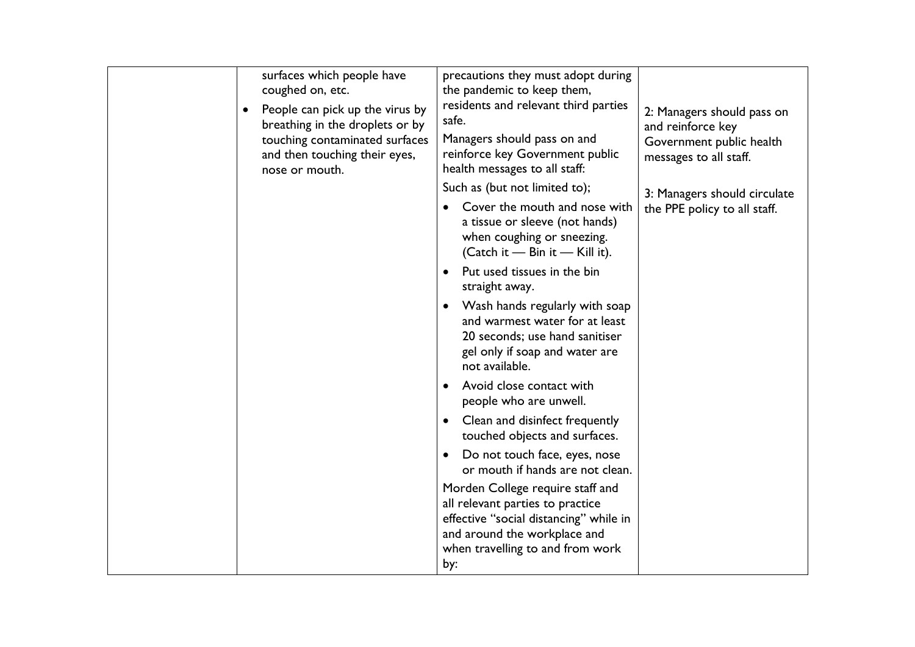| surfaces which people have<br>coughed on, etc.<br>People can pick up the virus by<br>$\bullet$<br>breathing in the droplets or by<br>touching contaminated surfaces<br>and then touching their eyes,<br>nose or mouth. | precautions they must adopt during<br>the pandemic to keep them,<br>residents and relevant third parties<br>safe.<br>Managers should pass on and<br>reinforce key Government public<br>health messages to all staff:<br>Such as (but not limited to);<br>Cover the mouth and nose with<br>a tissue or sleeve (not hands)<br>when coughing or sneezing.<br>(Catch it - Bin it - Kill it).<br>Put used tissues in the bin<br>$\bullet$<br>straight away.<br>Wash hands regularly with soap<br>$\bullet$<br>and warmest water for at least<br>20 seconds; use hand sanitiser<br>gel only if soap and water are<br>not available.<br>Avoid close contact with<br>people who are unwell.<br>Clean and disinfect frequently<br>$\bullet$<br>touched objects and surfaces.<br>Do not touch face, eyes, nose<br>$\bullet$<br>or mouth if hands are not clean.<br>Morden College require staff and<br>all relevant parties to practice<br>effective "social distancing" while in<br>and around the workplace and | 2: Managers should pass on<br>and reinforce key<br>Government public health<br>messages to all staff.<br>3: Managers should circulate<br>the PPE policy to all staff. |
|------------------------------------------------------------------------------------------------------------------------------------------------------------------------------------------------------------------------|---------------------------------------------------------------------------------------------------------------------------------------------------------------------------------------------------------------------------------------------------------------------------------------------------------------------------------------------------------------------------------------------------------------------------------------------------------------------------------------------------------------------------------------------------------------------------------------------------------------------------------------------------------------------------------------------------------------------------------------------------------------------------------------------------------------------------------------------------------------------------------------------------------------------------------------------------------------------------------------------------------|-----------------------------------------------------------------------------------------------------------------------------------------------------------------------|
|------------------------------------------------------------------------------------------------------------------------------------------------------------------------------------------------------------------------|---------------------------------------------------------------------------------------------------------------------------------------------------------------------------------------------------------------------------------------------------------------------------------------------------------------------------------------------------------------------------------------------------------------------------------------------------------------------------------------------------------------------------------------------------------------------------------------------------------------------------------------------------------------------------------------------------------------------------------------------------------------------------------------------------------------------------------------------------------------------------------------------------------------------------------------------------------------------------------------------------------|-----------------------------------------------------------------------------------------------------------------------------------------------------------------------|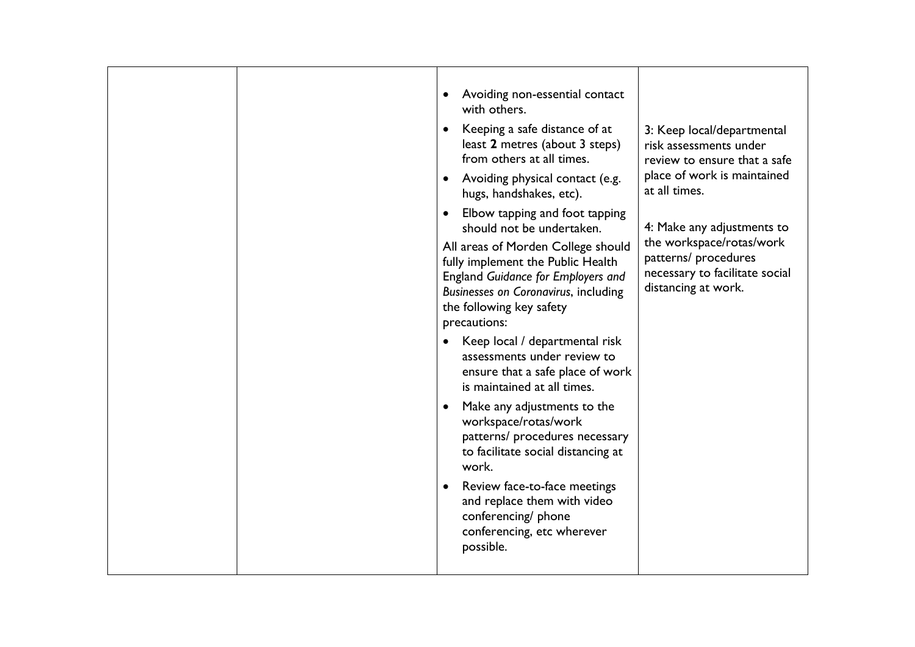|  | Avoiding non-essential contact<br>$\bullet$<br>with others.<br>Keeping a safe distance of at<br>$\bullet$<br>least 2 metres (about 3 steps)<br>from others at all times.<br>Avoiding physical contact (e.g.<br>hugs, handshakes, etc).<br>Elbow tapping and foot tapping<br>should not be undertaken.<br>All areas of Morden College should<br>fully implement the Public Health<br>England Guidance for Employers and<br><b>Businesses on Coronavirus, including</b><br>the following key safety<br>precautions: | 3: Keep local/departmental<br>risk assessments under<br>review to ensure that a safe<br>place of work is maintained<br>at all times.<br>4: Make any adjustments to<br>the workspace/rotas/work<br>patterns/ procedures<br>necessary to facilitate social<br>distancing at work. |
|--|-------------------------------------------------------------------------------------------------------------------------------------------------------------------------------------------------------------------------------------------------------------------------------------------------------------------------------------------------------------------------------------------------------------------------------------------------------------------------------------------------------------------|---------------------------------------------------------------------------------------------------------------------------------------------------------------------------------------------------------------------------------------------------------------------------------|
|  | Keep local / departmental risk<br>$\bullet$<br>assessments under review to<br>ensure that a safe place of work<br>is maintained at all times.                                                                                                                                                                                                                                                                                                                                                                     |                                                                                                                                                                                                                                                                                 |
|  | Make any adjustments to the<br>$\bullet$<br>workspace/rotas/work<br>patterns/ procedures necessary<br>to facilitate social distancing at<br>work.                                                                                                                                                                                                                                                                                                                                                                 |                                                                                                                                                                                                                                                                                 |
|  | Review face-to-face meetings<br>$\bullet$<br>and replace them with video<br>conferencing/ phone<br>conferencing, etc wherever<br>possible.                                                                                                                                                                                                                                                                                                                                                                        |                                                                                                                                                                                                                                                                                 |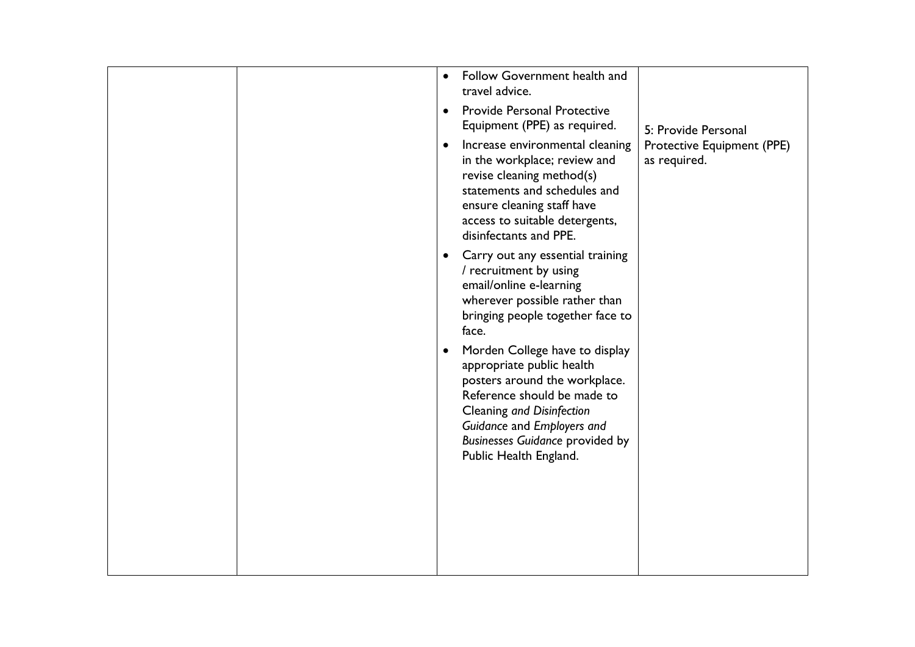|  | $\bullet$ | Follow Government health and<br>travel advice.                                                                                                                                                                                                             |                                            |
|--|-----------|------------------------------------------------------------------------------------------------------------------------------------------------------------------------------------------------------------------------------------------------------------|--------------------------------------------|
|  | $\bullet$ | <b>Provide Personal Protective</b><br>Equipment (PPE) as required.                                                                                                                                                                                         | 5: Provide Personal                        |
|  | $\bullet$ | Increase environmental cleaning<br>in the workplace; review and<br>revise cleaning method(s)<br>statements and schedules and<br>ensure cleaning staff have<br>access to suitable detergents,<br>disinfectants and PPE.                                     | Protective Equipment (PPE)<br>as required. |
|  | $\bullet$ | Carry out any essential training<br>/ recruitment by using<br>email/online e-learning<br>wherever possible rather than<br>bringing people together face to<br>face.                                                                                        |                                            |
|  | $\bullet$ | Morden College have to display<br>appropriate public health<br>posters around the workplace.<br>Reference should be made to<br>Cleaning and Disinfection<br>Guidance and Employers and<br><b>Businesses Guidance provided by</b><br>Public Health England. |                                            |
|  |           |                                                                                                                                                                                                                                                            |                                            |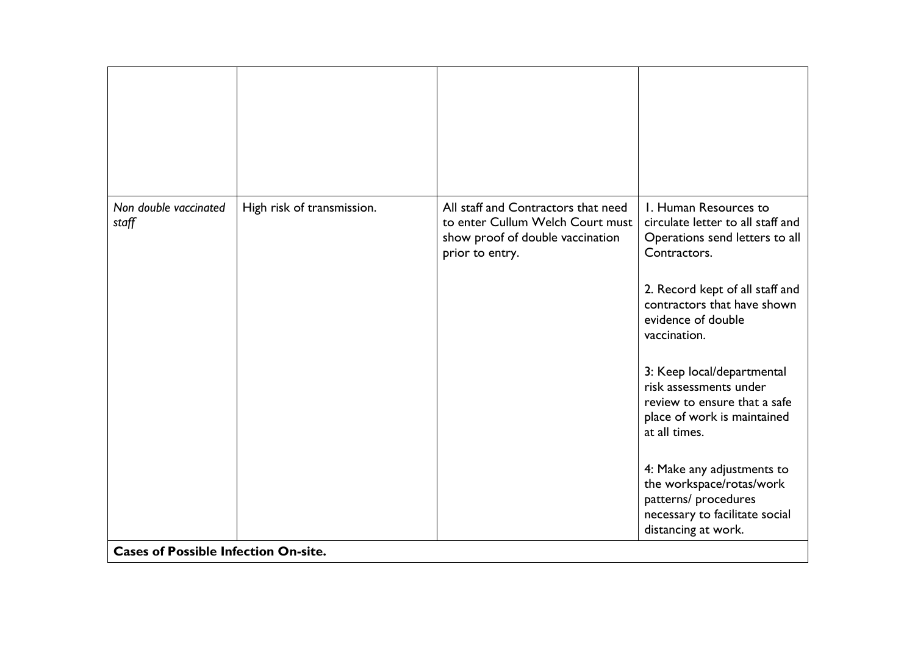| Non double vaccinated<br>staff              | High risk of transmission. | All staff and Contractors that need<br>to enter Cullum Welch Court must<br>show proof of double vaccination<br>prior to entry. | I. Human Resources to<br>circulate letter to all staff and<br>Operations send letters to all<br>Contractors.                            |
|---------------------------------------------|----------------------------|--------------------------------------------------------------------------------------------------------------------------------|-----------------------------------------------------------------------------------------------------------------------------------------|
|                                             |                            |                                                                                                                                | 2. Record kept of all staff and<br>contractors that have shown<br>evidence of double<br>vaccination.                                    |
|                                             |                            |                                                                                                                                | 3: Keep local/departmental<br>risk assessments under<br>review to ensure that a safe<br>place of work is maintained<br>at all times.    |
|                                             |                            |                                                                                                                                | 4: Make any adjustments to<br>the workspace/rotas/work<br>patterns/ procedures<br>necessary to facilitate social<br>distancing at work. |
| <b>Cases of Possible Infection On-site.</b> |                            |                                                                                                                                |                                                                                                                                         |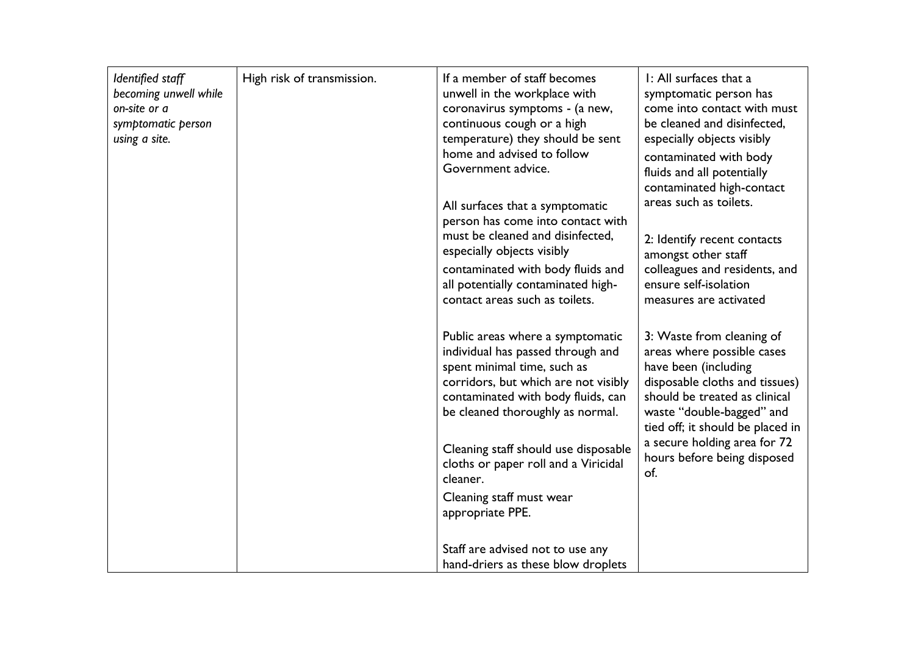| Identified staff<br>becoming unwell while<br>on-site or a<br>symptomatic person<br>using a site. | High risk of transmission. | If a member of staff becomes<br>unwell in the workplace with<br>coronavirus symptoms - (a new,<br>continuous cough or a high<br>temperature) they should be sent<br>home and advised to follow<br>Government advice.<br>All surfaces that a symptomatic<br>person has come into contact with<br>must be cleaned and disinfected,<br>especially objects visibly<br>contaminated with body fluids and<br>all potentially contaminated high-<br>contact areas such as toilets. | I: All surfaces that a<br>symptomatic person has<br>come into contact with must<br>be cleaned and disinfected,<br>especially objects visibly<br>contaminated with body<br>fluids and all potentially<br>contaminated high-contact<br>areas such as toilets.<br>2: Identify recent contacts<br>amongst other staff<br>colleagues and residents, and<br>ensure self-isolation<br>measures are activated |
|--------------------------------------------------------------------------------------------------|----------------------------|-----------------------------------------------------------------------------------------------------------------------------------------------------------------------------------------------------------------------------------------------------------------------------------------------------------------------------------------------------------------------------------------------------------------------------------------------------------------------------|-------------------------------------------------------------------------------------------------------------------------------------------------------------------------------------------------------------------------------------------------------------------------------------------------------------------------------------------------------------------------------------------------------|
|                                                                                                  |                            | Public areas where a symptomatic<br>individual has passed through and<br>spent minimal time, such as<br>corridors, but which are not visibly<br>contaminated with body fluids, can<br>be cleaned thoroughly as normal.<br>Cleaning staff should use disposable<br>cloths or paper roll and a Viricidal<br>cleaner.<br>Cleaning staff must wear<br>appropriate PPE.                                                                                                          | 3: Waste from cleaning of<br>areas where possible cases<br>have been (including<br>disposable cloths and tissues)<br>should be treated as clinical<br>waste "double-bagged" and<br>tied off; it should be placed in<br>a secure holding area for 72<br>hours before being disposed<br>of.                                                                                                             |
|                                                                                                  |                            | Staff are advised not to use any<br>hand-driers as these blow droplets                                                                                                                                                                                                                                                                                                                                                                                                      |                                                                                                                                                                                                                                                                                                                                                                                                       |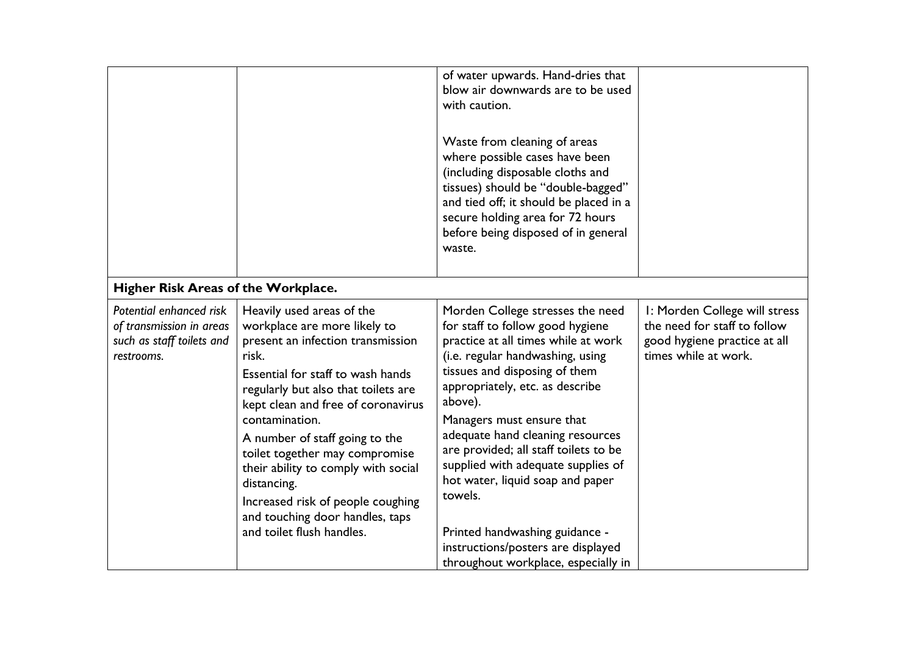|                                                                                                |                                                                                                                                                                                                                                                                                                                                                                                                                                                                            | of water upwards. Hand-dries that<br>blow air downwards are to be used<br>with caution.<br>Waste from cleaning of areas<br>where possible cases have been<br>(including disposable cloths and<br>tissues) should be "double-bagged"<br>and tied off; it should be placed in a<br>secure holding area for 72 hours<br>before being disposed of in general<br>waste.                                                                                                                                                                           |                                                                                                                       |
|------------------------------------------------------------------------------------------------|----------------------------------------------------------------------------------------------------------------------------------------------------------------------------------------------------------------------------------------------------------------------------------------------------------------------------------------------------------------------------------------------------------------------------------------------------------------------------|----------------------------------------------------------------------------------------------------------------------------------------------------------------------------------------------------------------------------------------------------------------------------------------------------------------------------------------------------------------------------------------------------------------------------------------------------------------------------------------------------------------------------------------------|-----------------------------------------------------------------------------------------------------------------------|
| Higher Risk Areas of the Workplace.                                                            |                                                                                                                                                                                                                                                                                                                                                                                                                                                                            |                                                                                                                                                                                                                                                                                                                                                                                                                                                                                                                                              |                                                                                                                       |
| Potential enhanced risk<br>of transmission in areas<br>such as staff toilets and<br>restrooms. | Heavily used areas of the<br>workplace are more likely to<br>present an infection transmission<br>risk.<br>Essential for staff to wash hands<br>regularly but also that toilets are<br>kept clean and free of coronavirus<br>contamination.<br>A number of staff going to the<br>toilet together may compromise<br>their ability to comply with social<br>distancing.<br>Increased risk of people coughing<br>and touching door handles, taps<br>and toilet flush handles. | Morden College stresses the need<br>for staff to follow good hygiene<br>practice at all times while at work<br>(i.e. regular handwashing, using<br>tissues and disposing of them<br>appropriately, etc. as describe<br>above).<br>Managers must ensure that<br>adequate hand cleaning resources<br>are provided; all staff toilets to be<br>supplied with adequate supplies of<br>hot water, liquid soap and paper<br>towels.<br>Printed handwashing guidance -<br>instructions/posters are displayed<br>throughout workplace, especially in | I: Morden College will stress<br>the need for staff to follow<br>good hygiene practice at all<br>times while at work. |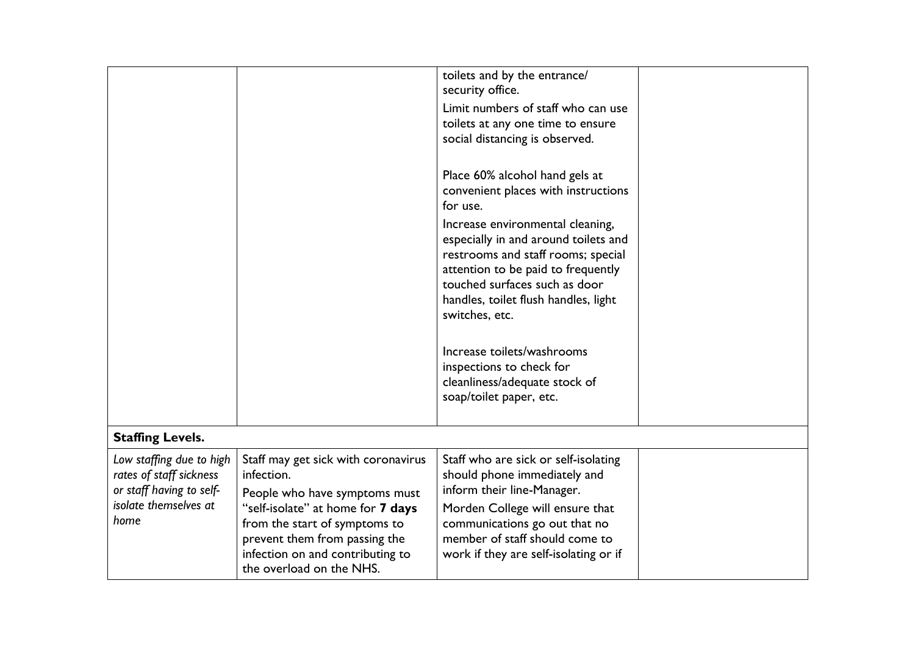|                               |                                                                   | toilets and by the entrance/<br>security office.                         |  |
|-------------------------------|-------------------------------------------------------------------|--------------------------------------------------------------------------|--|
|                               |                                                                   | Limit numbers of staff who can use                                       |  |
|                               |                                                                   | toilets at any one time to ensure                                        |  |
|                               |                                                                   | social distancing is observed.                                           |  |
|                               |                                                                   |                                                                          |  |
|                               |                                                                   | Place 60% alcohol hand gels at                                           |  |
|                               |                                                                   | convenient places with instructions                                      |  |
|                               |                                                                   | for use.                                                                 |  |
|                               |                                                                   | Increase environmental cleaning,<br>especially in and around toilets and |  |
|                               |                                                                   | restrooms and staff rooms; special<br>attention to be paid to frequently |  |
|                               |                                                                   | touched surfaces such as door                                            |  |
|                               |                                                                   | handles, toilet flush handles, light<br>switches, etc.                   |  |
|                               |                                                                   |                                                                          |  |
|                               |                                                                   | Increase toilets/washrooms                                               |  |
|                               |                                                                   | inspections to check for                                                 |  |
|                               |                                                                   | cleanliness/adequate stock of                                            |  |
|                               |                                                                   | soap/toilet paper, etc.                                                  |  |
|                               |                                                                   |                                                                          |  |
| <b>Staffing Levels.</b>       |                                                                   |                                                                          |  |
| Low staffing due to high      | Staff may get sick with coronavirus                               | Staff who are sick or self-isolating                                     |  |
| rates of staff sickness       | infection.                                                        | should phone immediately and                                             |  |
| or staff having to self-      | People who have symptoms must                                     | inform their line-Manager.                                               |  |
| isolate themselves at<br>home | "self-isolate" at home for 7 days                                 | Morden College will ensure that                                          |  |
|                               | from the start of symptoms to                                     | communications go out that no<br>member of staff should come to          |  |
|                               | prevent them from passing the<br>infection on and contributing to | work if they are self-isolating or if                                    |  |
|                               | the overload on the NHS.                                          |                                                                          |  |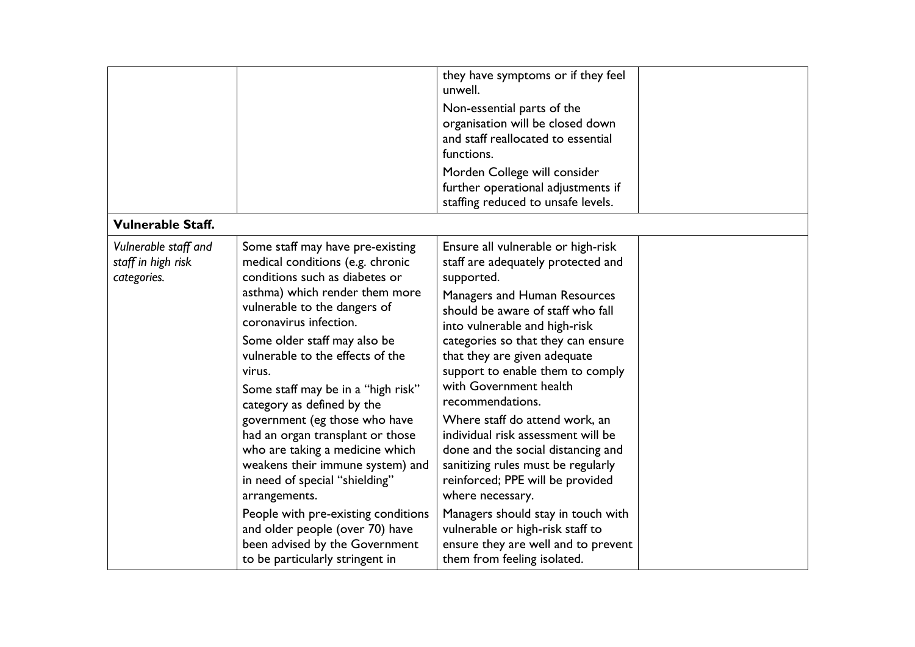| <b>Vulnerable Staff.</b>                                  |                                                                                                                                                                                                                                                                                                                                                                                                                                                                                                                                                                                                                                                                                                    | they have symptoms or if they feel<br>unwell.<br>Non-essential parts of the<br>organisation will be closed down<br>and staff reallocated to essential<br>functions.<br>Morden College will consider<br>further operational adjustments if<br>staffing reduced to unsafe levels.                                                                                                                                                                                                                                                                                                                                                                                                                                  |  |
|-----------------------------------------------------------|----------------------------------------------------------------------------------------------------------------------------------------------------------------------------------------------------------------------------------------------------------------------------------------------------------------------------------------------------------------------------------------------------------------------------------------------------------------------------------------------------------------------------------------------------------------------------------------------------------------------------------------------------------------------------------------------------|------------------------------------------------------------------------------------------------------------------------------------------------------------------------------------------------------------------------------------------------------------------------------------------------------------------------------------------------------------------------------------------------------------------------------------------------------------------------------------------------------------------------------------------------------------------------------------------------------------------------------------------------------------------------------------------------------------------|--|
| Vulnerable staff and<br>staff in high risk<br>categories. | Some staff may have pre-existing<br>medical conditions (e.g. chronic<br>conditions such as diabetes or<br>asthma) which render them more<br>vulnerable to the dangers of<br>coronavirus infection.<br>Some older staff may also be<br>vulnerable to the effects of the<br>virus.<br>Some staff may be in a "high risk"<br>category as defined by the<br>government (eg those who have<br>had an organ transplant or those<br>who are taking a medicine which<br>weakens their immune system) and<br>in need of special "shielding"<br>arrangements.<br>People with pre-existing conditions<br>and older people (over 70) have<br>been advised by the Government<br>to be particularly stringent in | Ensure all vulnerable or high-risk<br>staff are adequately protected and<br>supported.<br>Managers and Human Resources<br>should be aware of staff who fall<br>into vulnerable and high-risk<br>categories so that they can ensure<br>that they are given adequate<br>support to enable them to comply<br>with Government health<br>recommendations.<br>Where staff do attend work, an<br>individual risk assessment will be<br>done and the social distancing and<br>sanitizing rules must be regularly<br>reinforced; PPE will be provided<br>where necessary.<br>Managers should stay in touch with<br>vulnerable or high-risk staff to<br>ensure they are well and to prevent<br>them from feeling isolated. |  |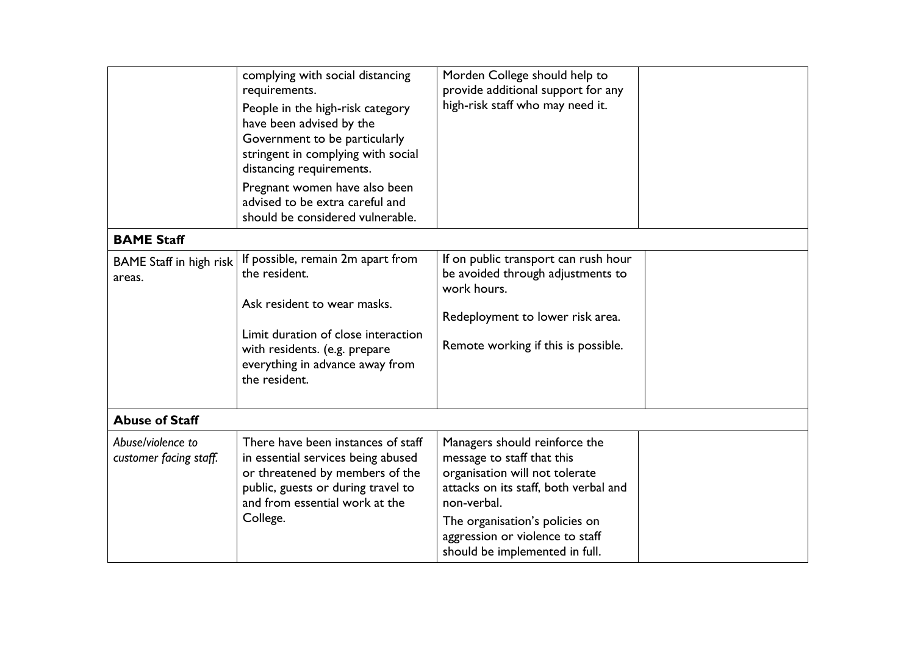|                                             | complying with social distancing<br>requirements.<br>People in the high-risk category<br>have been advised by the<br>Government to be particularly<br>stringent in complying with social<br>distancing requirements.<br>Pregnant women have also been<br>advised to be extra careful and<br>should be considered vulnerable. | Morden College should help to<br>provide additional support for any<br>high-risk staff who may need it.                                                                                                                                                      |  |
|---------------------------------------------|------------------------------------------------------------------------------------------------------------------------------------------------------------------------------------------------------------------------------------------------------------------------------------------------------------------------------|--------------------------------------------------------------------------------------------------------------------------------------------------------------------------------------------------------------------------------------------------------------|--|
| <b>BAME Staff</b>                           |                                                                                                                                                                                                                                                                                                                              |                                                                                                                                                                                                                                                              |  |
| <b>BAME</b> Staff in high risk<br>areas.    | If possible, remain 2m apart from<br>the resident.<br>Ask resident to wear masks.<br>Limit duration of close interaction<br>with residents. (e.g. prepare<br>everything in advance away from<br>the resident.                                                                                                                | If on public transport can rush hour<br>be avoided through adjustments to<br>work hours.<br>Redeployment to lower risk area.<br>Remote working if this is possible.                                                                                          |  |
| <b>Abuse of Staff</b>                       |                                                                                                                                                                                                                                                                                                                              |                                                                                                                                                                                                                                                              |  |
| Abuse/violence to<br>customer facing staff. | There have been instances of staff<br>in essential services being abused<br>or threatened by members of the<br>public, guests or during travel to<br>and from essential work at the<br>College.                                                                                                                              | Managers should reinforce the<br>message to staff that this<br>organisation will not tolerate<br>attacks on its staff, both verbal and<br>non-verbal.<br>The organisation's policies on<br>aggression or violence to staff<br>should be implemented in full. |  |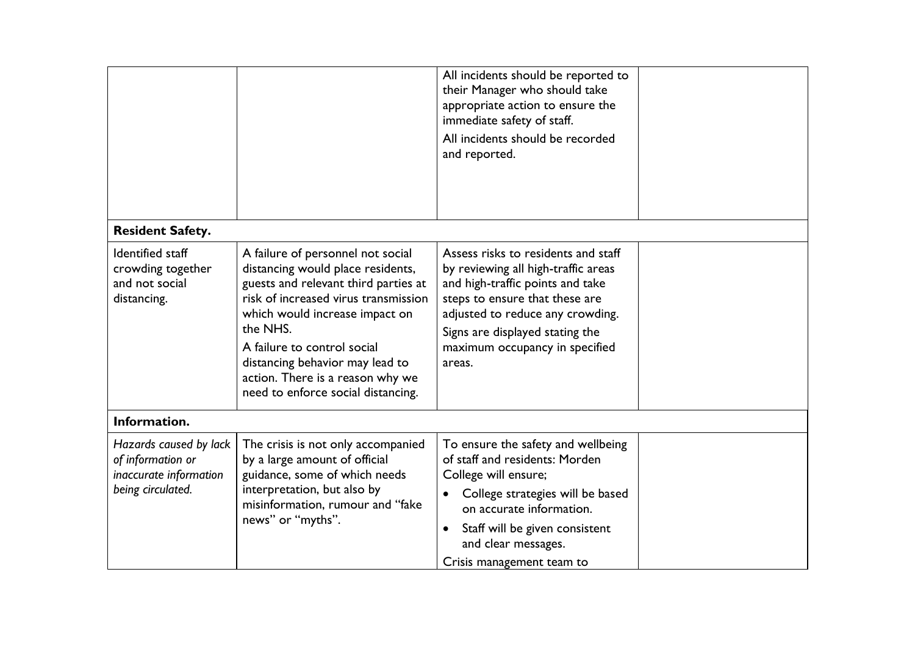| <b>Resident Safety.</b>                                                                    |                                                                                                                                                                                                                                                                                                                                                  | All incidents should be reported to<br>their Manager who should take<br>appropriate action to ensure the<br>immediate safety of staff.<br>All incidents should be recorded<br>and reported.                                                                         |  |
|--------------------------------------------------------------------------------------------|--------------------------------------------------------------------------------------------------------------------------------------------------------------------------------------------------------------------------------------------------------------------------------------------------------------------------------------------------|---------------------------------------------------------------------------------------------------------------------------------------------------------------------------------------------------------------------------------------------------------------------|--|
|                                                                                            |                                                                                                                                                                                                                                                                                                                                                  |                                                                                                                                                                                                                                                                     |  |
| Identified staff<br>crowding together<br>and not social<br>distancing.                     | A failure of personnel not social<br>distancing would place residents,<br>guests and relevant third parties at<br>risk of increased virus transmission<br>which would increase impact on<br>the NHS.<br>A failure to control social<br>distancing behavior may lead to<br>action. There is a reason why we<br>need to enforce social distancing. | Assess risks to residents and staff<br>by reviewing all high-traffic areas<br>and high-traffic points and take<br>steps to ensure that these are<br>adjusted to reduce any crowding.<br>Signs are displayed stating the<br>maximum occupancy in specified<br>areas. |  |
| Information.                                                                               |                                                                                                                                                                                                                                                                                                                                                  |                                                                                                                                                                                                                                                                     |  |
| Hazards caused by lack<br>of information or<br>inaccurate information<br>being circulated. | The crisis is not only accompanied<br>by a large amount of official<br>guidance, some of which needs<br>interpretation, but also by                                                                                                                                                                                                              | To ensure the safety and wellbeing<br>of staff and residents: Morden<br>College will ensure;                                                                                                                                                                        |  |
|                                                                                            | misinformation, rumour and "fake<br>news" or "myths".                                                                                                                                                                                                                                                                                            | College strategies will be based<br>on accurate information.                                                                                                                                                                                                        |  |
|                                                                                            |                                                                                                                                                                                                                                                                                                                                                  | Staff will be given consistent<br>$\bullet$<br>and clear messages.                                                                                                                                                                                                  |  |
|                                                                                            |                                                                                                                                                                                                                                                                                                                                                  | Crisis management team to                                                                                                                                                                                                                                           |  |